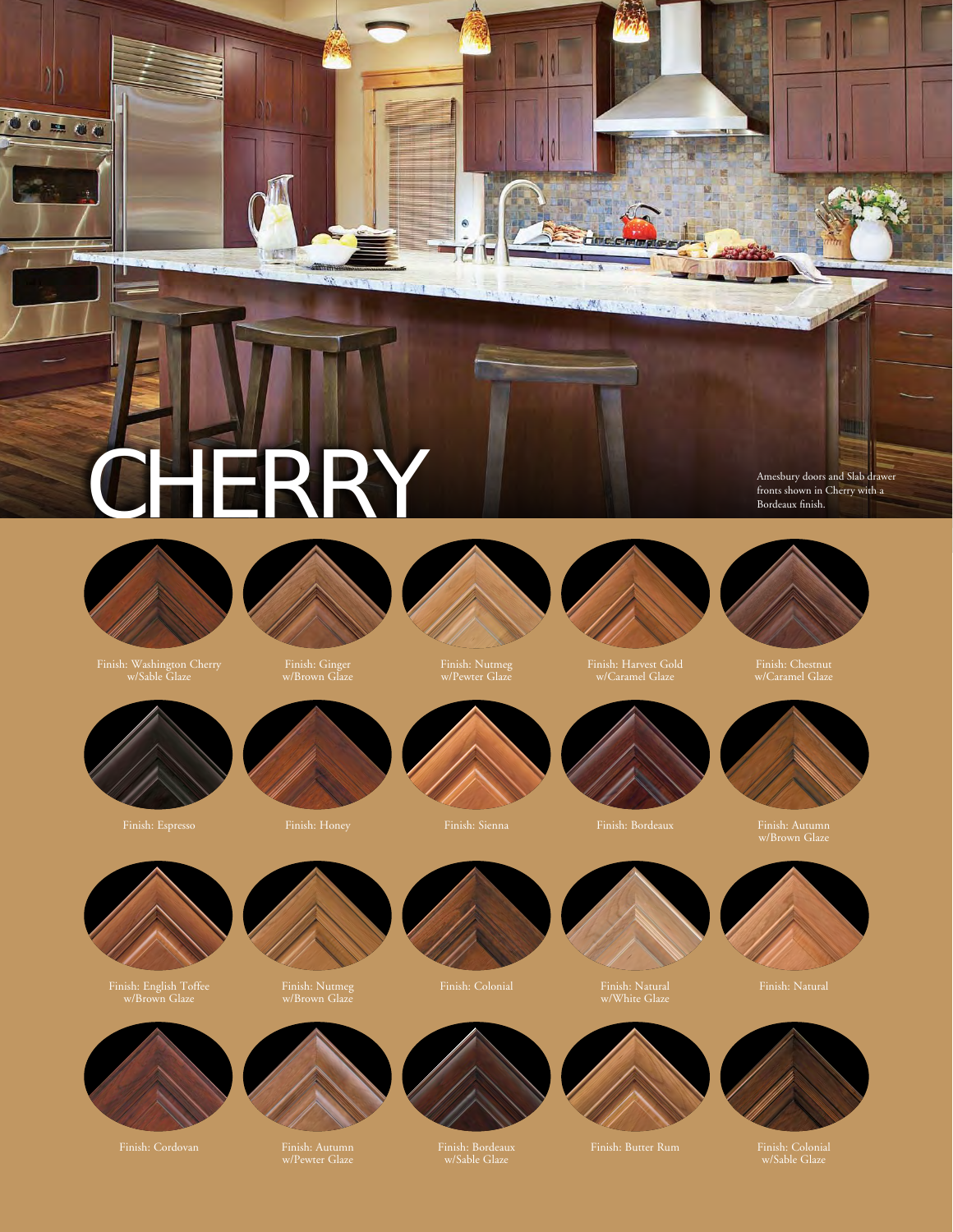## CHERRY

假

 $\mathcal{C}_{\mathcal{A}}$ 



 $\bullet = \bullet \bullet$ 

Finish: Washington Cherry w/Sable Glaze





w/Brown Glaze



 $\bullet$ 

TTANT

 $\frac{1}{2}$ 

**Hotel** 

North States Brooklyn Charles Co





Finish: Harvest Gold w/Caramel Glaze



Amesbury doors and Slab drawer fronts shown in Cherry with a

Finish: Chestnut w/Caramel Glaze



w/Brown Glaze





Finish: English Toffee w/Brown Glaze



w/Brown Glaze





w/Sable Glaze

w/White Glaze



w/Sable Glaze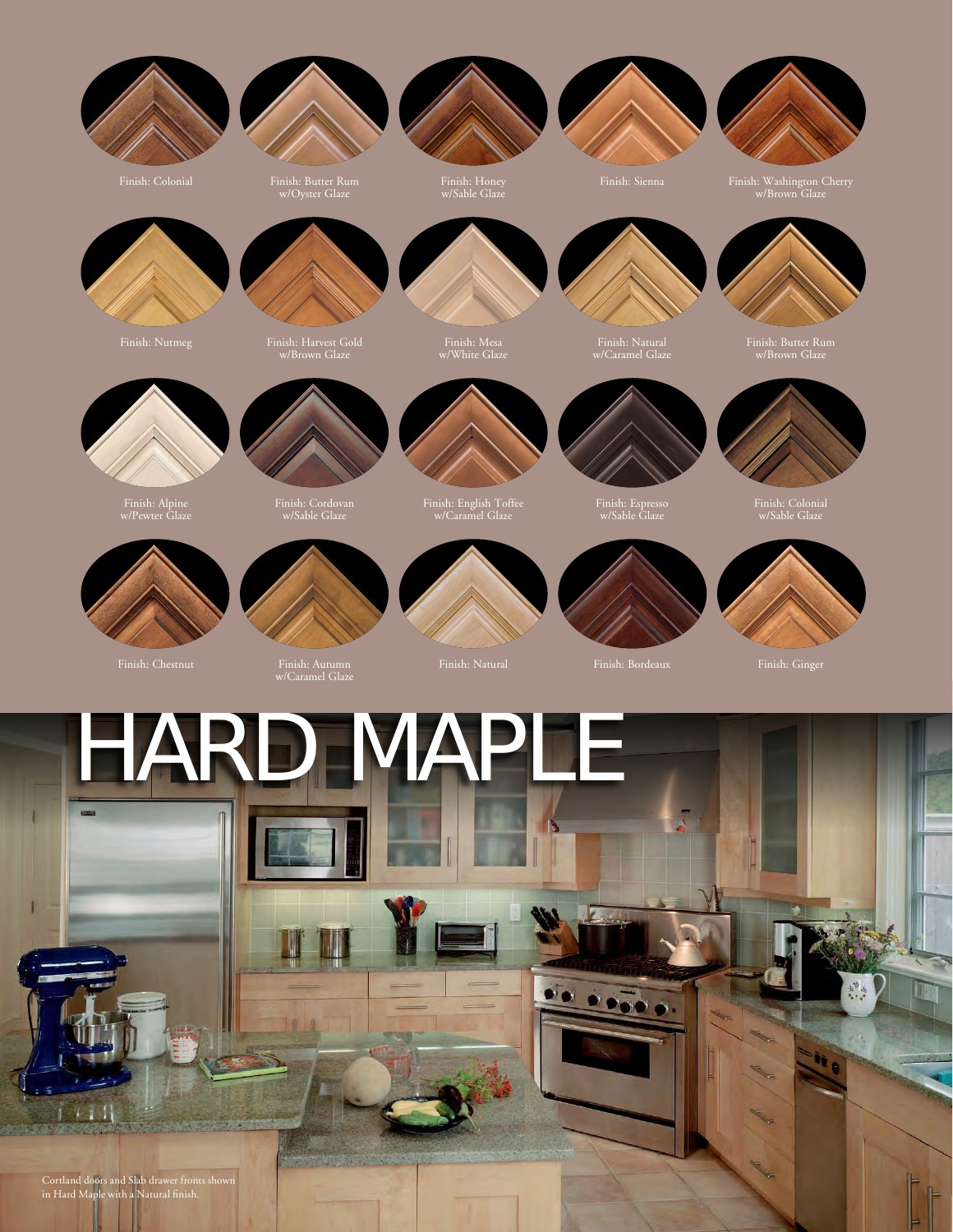